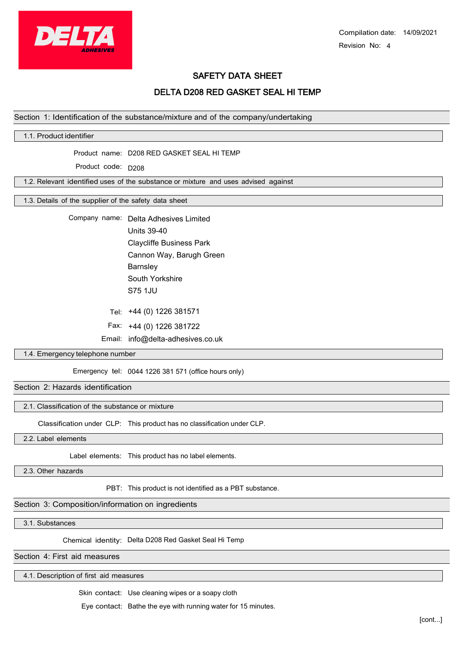

Compilation date: 14/09/2021 Revision No: 4

# SAFETY DATA SHEET

# DELTA D208 RED GASKET SEAL HI TEMP

#### Section 1: Identification of the substance/mixture and of the company/undertaking

## 1.1. Product identifier

Product name: D208 RED GASKET SEAL HI TEMP

Product code: D208

1.2. Relevant identified uses of the substance or mixture and uses advised against

1.3. Details of the supplier of the safety data sheet

Company name: Delta Adhesives Limited Units 39-40 Claycliffe Business Park Cannon Way, Barugh Green **Barnsley** South Yorkshire S75 1JU

+44 (0) 1226 381571 Tel:

Fax: +44 (0) 1226 381722

Email: info@delta-adhesives.co.uk

#### 1.4. Emergency telephone number

Emergency tel: 0044 1226 381 571 (office hours only)

Section 2: Hazards identification

#### 2.1. Classification of the substance or mixture

Classification under CLP: This product has no classification under CLP.

2.2. Label elements

Label elements: This product has no label elements.

2.3. Other hazards

PBT: This product is not identified as a PBT substance.

#### Section 3: Composition/information on ingredients

3.1. Substances

Chemical identity: Delta D208 Red Gasket Seal Hi Temp

Section 4: First aid measures

4.1. Description of first aid measures

Skin contact: Use cleaning wipes or a soapy cloth

Eye contact: Bathe the eye with running water for 15 minutes.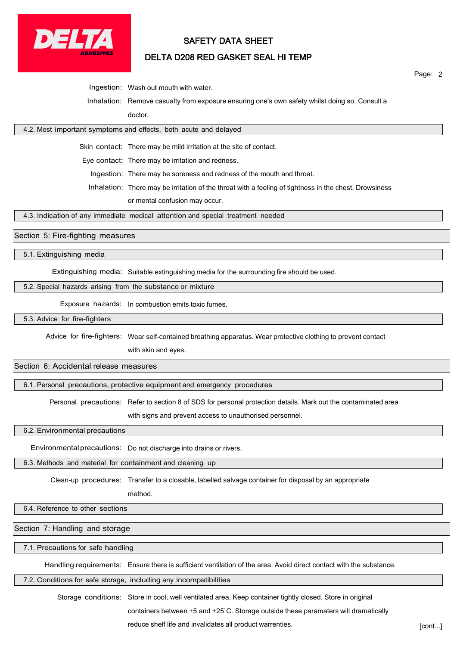

# SAFETY DATA SHEET

# DELTA D208 RED GASKET SEAL HI TEMP

Page: 2

Ingestion: Wash out mouth with water.

Inhalation: Remove casualty from exposure ensuring one's own safety whilst doing so. Consult a doctor.

## 4.2. Most important symptoms and effects, both acute and delayed

Skin contact: There may be mild irritation at the site of contact.

Eye contact: There may be irritation and redness.

Ingestion: There may be soreness and redness of the mouth and throat.

Inhalation: There may be irritation of the throat with a feeling of tightness in the chest. Drowsiness

or mental confusion may occur.

4.3. Indication of any immediate medical attention and special treatment needed

### Section 5: Fire-fighting measures

5.1. Extinguishing media

Extinguishing media: Suitable extinguishing media for the surrounding fire should be used.

#### 5.2. Special hazards arising from the substance or mixture

Exposure hazards: In combustion emits toxic fumes.

5.3. Advice for fire-fighters

Advice for fire-fighters: Wear self-contained breathing apparatus. Wear protective clothing to prevent contact

with skin and eyes.

## Section 6: Accidental release measures

6.1. Personal precautions, protective equipment and emergency procedures

Personal precautions: Refer to section 8 of SDS for personal protection details. Mark out the contaminated area

with signs and prevent access to unauthorised personnel.

6.2. Environmental precautions

Environmentalprecautions: Do not discharge into drains or rivers.

6.3. Methods and material for containment and cleaning up

Clean-up procedures: Transfer to a closable, labelled salvage container for disposal by an appropriate

method.

6.4. Reference to other sections

Section 7: Handling and storage

7.1. Precautions for safe handling

Handling requirements: Ensure there is sufficient ventilation of the area. Avoid direct contact with the substance.

7.2. Conditions for safe storage, including any incompatibilities

Storage conditions: Store in cool, well ventilated area. Keep container tightly closed. Store in original containers between +5 and +25`C. Storage outside these paramaters will dramatically

reduce shelf life and invalidates all product warrenties. **Example 20 and Section** [cont...]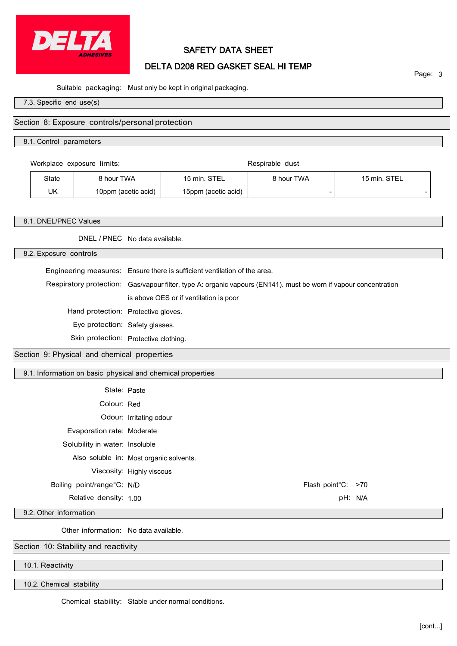

# SAFETY DATA SHEET

# DELTA D208 RED GASKET SEAL HI TEMP

Page: 3

Suitable packaging: Must only be kept in original packaging.

7.3. Specific end use(s)

## Section 8: Exposure controls/personal protection

8.1. Control parameters

Workplace exposure limits: Respirable dust

| State | 8 hour TWA          | ੨⊤⊏<br>15 min       | <b>8 hour TWA</b> | STEL<br>15 min. |
|-------|---------------------|---------------------|-------------------|-----------------|
| UK    | 10ppm (acetic acid) | 15ppm (acetic acid) | -                 | -               |

#### 8.1. DNEL/PNEC Values

DNEL / PNEC No data available.

8.2. Exposure controls

Engineering measures: Ensure there is sufficient ventilation of the area.

Respiratory protection: Gas/vapour filter, type A: organic vapours (EN141). must be worn if vapour concentration is above OES or if ventilation is poor

Hand protection: Protective gloves.

Eye protection: Safety glasses.

Skin protection: Protective clothing.

Section 9: Physical and chemical properties

9.1. Information on basic physical and chemical properties

| State: Paste                   |                                         |                    |  |
|--------------------------------|-----------------------------------------|--------------------|--|
| Colour: Red                    |                                         |                    |  |
|                                | Odour: Irritating odour                 |                    |  |
| Evaporation rate: Moderate     |                                         |                    |  |
| Solubility in water: Insoluble |                                         |                    |  |
|                                | Also soluble in: Most organic solvents. |                    |  |
|                                | Viscosity: Highly viscous               |                    |  |
| Boiling point/range°C: N/D     |                                         | Flash point°C: >70 |  |
| Relative density: 1.00         |                                         | pH: N/A            |  |

9.2. Other information

Other information: No data available.

Section 10: Stability and reactivity

10.1. Reactivity

10.2. Chemical stability

Chemical stability: Stable under normal conditions.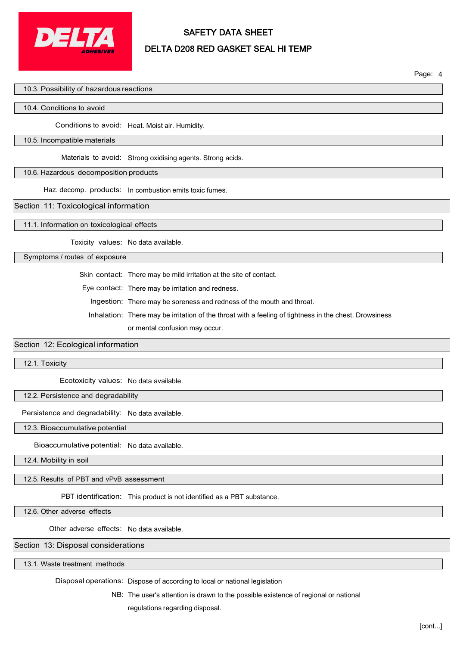

# SAFETY DATA SHEET DELTA D208 RED GASKET SEAL HI TEMP

Page: 4

## 10.3. Possibility of hazardous reactions

#### 10.4. Conditions to avoid

Conditions to avoid: Heat. Moist air. Humidity.

#### 10.5. Incompatible materials

Materials to avoid: Strong oxidising agents. Strong acids.

#### 10.6. Hazardous decomposition products

Haz. decomp. products: In combustion emits toxic fumes.

#### Section 11: Toxicological information

11.1. Information on toxicological effects

Toxicity values: No data available.

## Symptoms / routes of exposure

Skin contact: There may be mild irritation at the site of contact.

Eye contact: There may be irritation and redness.

Ingestion: There may be soreness and redness of the mouth and throat.

Inhalation: There may be irritation of the throat with a feeling of tightness in the chest. Drowsiness

or mental confusion may occur.

#### Section 12: Ecological information

12.1. Toxicity

Ecotoxicity values: No data available.

#### 12.2. Persistence and degradability

Persistence and degradability: No data available.

12.3. Bioaccumulative potential

Bioaccumulative potential: No data available.

12.4. Mobility in soil

12.5. Results of PBT and vPvB assessment

PBT identification: This product is not identified as a PBT substance.

12.6. Other adverse effects

Other adverse effects: No data available.

## Section 13: Disposal considerations

13.1. Waste treatment methods

Disposal operations: Dispose of according to local or national legislation

NB: The user's attention is drawn to the possible existence of regional or national regulations regarding disposal.